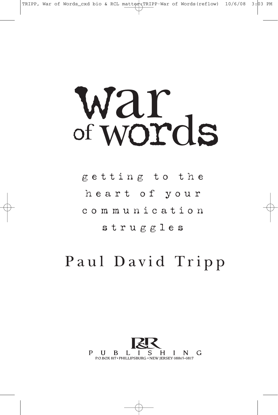TRIPP, War of Words\_cxd bio & RCL matter:TRIPP-War of Words(reflow)  $10/6/08$  3:03 PM

# War<br>of Words

getting to the heart of your communication struggles

# Paul David Tripp

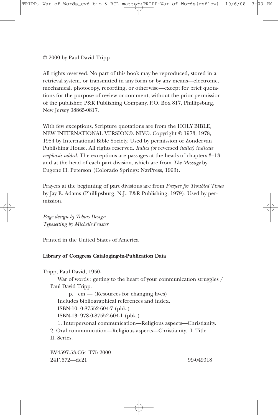© 2000 by Paul David Tripp

All rights reserved. No part of this book may be reproduced, stored in a retrieval system, or transmitted in any form or by any means—electronic, mechanical, photocopy, recording, or otherwise—except for brief quotations for the purpose of review or comment, without the prior permission of the publisher, P&R Publishing Company, P.O. Box 817, Phillipsburg, New Jersey 08865-0817.

With few exceptions, Scripture quotations are from the HOLY BIBLE, NEW INTERNATIONAL VERSION®. NIV®. Copyright © 1973, 1978, 1984 by International Bible Society. Used by permission of Zondervan Publishing House. All rights reserved. *Italics (or* reversed *italics) indicate emphasis added.* The exceptions are passages at the heads of chapters 3–13 and at the head of each part division, which are from *The Message* by Eugene H. Peterson (Colorado Springs: NavPress, 1993).

Prayers at the beginning of part divisions are from *Prayers for Troubled Times* by Jay E. Adams (Phillipsburg, N.J.: P&R Publishing, 1979). Used by permission.

*Page design by Tobias Design Typesetting by Michelle Feaster*

Printed in the United States of America

### **Library of Congress Cataloging-in-Publication Data**

Tripp, Paul David, 1950- War of words : getting to the heart of your communication struggles / Paul David Tripp. p. cm — (Resources for changing lives) Includes bibliographical references and index. ISBN-10: 0-87552-604-7 (pbk.) ISBN-13: 978-0-87552-604-1 (pbk.) 1. Interpersonal communication—Religious aspects—Christianity. 2. Oral communication—Religious aspects—Christianity. I. Title. II. Series.

BV4597.53.C64 T75 2000 241'.672—dc21 99-049318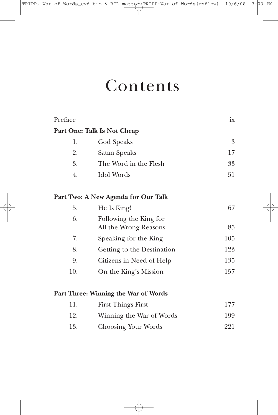TRIPP, War of Words\_cxd bio & RCL matter:TRIPP-War of Words(reflow)  $10/6/08$  3:03 PM

# Contents

| Preface |                                                 | ix  |  |  |  |
|---------|-------------------------------------------------|-----|--|--|--|
|         | Part One: Talk Is Not Cheap                     |     |  |  |  |
| 1.      | God Speaks                                      | 3   |  |  |  |
| 2.      | Satan Speaks                                    | 17  |  |  |  |
| 3.      | The Word in the Flesh                           | 33  |  |  |  |
| 4.      | <b>Idol Words</b>                               | 51  |  |  |  |
|         | Part Two: A New Agenda for Our Talk             |     |  |  |  |
| 5.      | He Is King!                                     | 67  |  |  |  |
| 6.      | Following the King for<br>All the Wrong Reasons | 85  |  |  |  |
| 7.      | Speaking for the King                           | 105 |  |  |  |
| 8.      | Getting to the Destination                      | 123 |  |  |  |
| 9.      | Citizens in Need of Help                        | 135 |  |  |  |
| 10.     | On the King's Mission                           | 157 |  |  |  |

### **Part Three: Winning the War of Words**

| -11. | <b>First Things First</b> | 177 |
|------|---------------------------|-----|
| -12. | Winning the War of Words  | 199 |
| -13. | Choosing Your Words       | 221 |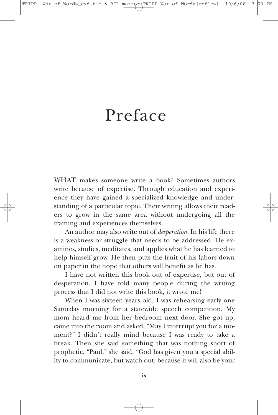# Preface

WHAT makes someone write a book? Sometimes authors write because of expertise. Through education and experience they have gained a specialized knowledge and understanding of a particular topic. Their writing allows their readers to grow in the same area without undergoing all the training and experiences themselves.

An author may also write out of *desperation.* In his life there is a weakness or struggle that needs to be addressed. He examines, studies, meditates, and applies what he has learned to help himself grow. He then puts the fruit of his labors down on paper in the hope that others will benefit as he has.

I have not written this book out of expertise, but out of desperation. I have told many people during the writing process that I did not write this book, it wrote me!

When I was sixteen years old, I was rehearsing early one Saturday morning for a statewide speech competition. My mom heard me from her bedroom next door. She got up, came into the room and asked, "May I interrupt you for a moment?" I didn't really mind because I was ready to take a break. Then she said something that was nothing short of prophetic. "Paul," she said, "God has given you a special ability to communicate, but watch out, because it will also be your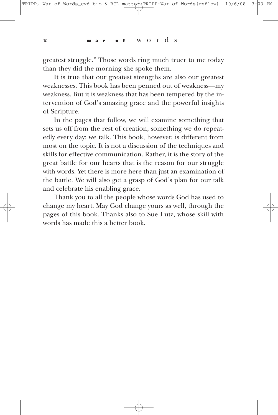**x** <sup>w</sup> <sup>a</sup> <sup>r</sup> <sup>o</sup> <sup>f</sup> w o r d s

greatest struggle." Those words ring much truer to me today than they did the morning she spoke them.

It is true that our greatest strengths are also our greatest weaknesses. This book has been penned out of weakness—my weakness. But it is weakness that has been tempered by the intervention of God's amazing grace and the powerful insights of Scripture.

In the pages that follow, we will examine something that sets us off from the rest of creation, something we do repeatedly every day: we talk. This book, however, is different from most on the topic. It is not a discussion of the techniques and skills for effective communication. Rather, it is the story of the great battle for our hearts that is the reason for our struggle with words. Yet there is more here than just an examination of the battle. We will also get a grasp of God's plan for our talk and celebrate his enabling grace.

Thank you to all the people whose words God has used to change my heart. May God change yours as well, through the pages of this book. Thanks also to Sue Lutz, whose skill with words has made this a better book.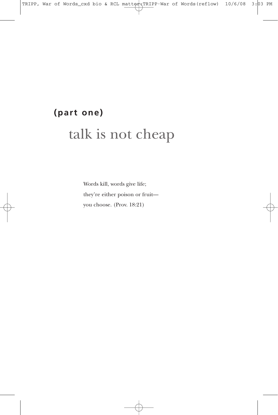## **(part one)**

# talk is not cheap

Words kill, words give life; they're either poison or fruit you choose. (Prov. 18:21)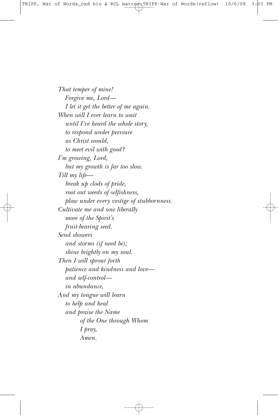TRIPP, War of Words\_cxd bio & RCL matters\TRIPP-War of Words(reflow)  $10/6/08$  3:03 PM

*That temper of mine! Forgive me, Lord— I let it get the better of me again. When will I ever learn to wait until I've heard the whole story, to respond under pressure as Christ would, to meet evil with good? I'm growing, Lord, but my growth is far too slow. Till my life break up clods of pride, root out weeds of selfishness, plow under every vestige of stubbornness. Cultivate me and sow liberally more of the Spirit's fruit-bearing seed. Send showers and storms (if need be); shine brightly on my soul. Then I will sprout forth patience and kindness and love and self-control in abundance, And my tongue will learn to help and heal and praise the Name of the One through Whom I pray, Amen.*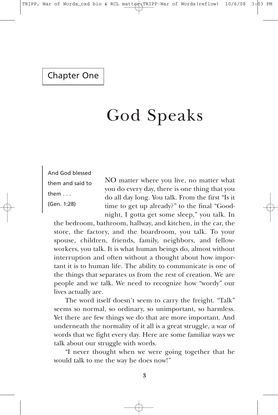$\text{cxd bio & \text{RCL} matt\'eqt\^T\$ RIPP-War of Words(reflow)  $10/6/08$  3:03 PM

### Chapter One

# God Speaks

And God blessed them and said to them . . . (Gen. 1:28)

NO matter where you live, no matter what you do every day, there is one thing that you do all day long. You talk. From the first "Is it time to get up already?" to the final "Goodnight, I gotta get some sleep," you talk. In

the bedroom, bathroom, hallway, and kitchen, in the car, the store, the factory, and the boardroom, you talk. To your spouse, children, friends, family, neighbors, and fellowworkers, you talk. It is what human beings do, almost without interruption and often without a thought about how important it is to human life. The ability to communicate is one of the things that separates us from the rest of creation. We are people and we talk. We need to recognize how "wordy" our lives actually are.

The word itself doesn't seem to carry the freight. "Talk" seems so normal, so ordinary, so unimportant, so harmless. Yet there are few things we do that are more important. And underneath the normality of it all is a great struggle, a war of words that we fight every day. Here are some familiar ways we talk about our struggle with words.

"I never thought when we were going together that he would talk to me the way he does now!"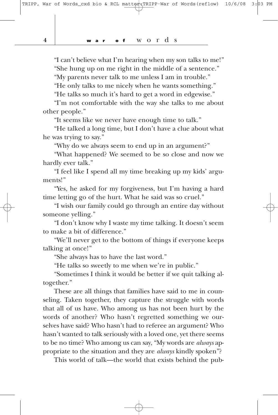### **4** <sup>w</sup> <sup>a</sup> <sup>r</sup> <sup>o</sup> <sup>f</sup> w o r d s

"I can't believe what I'm hearing when my son talks to me!" "She hung up on me right in the middle of a sentence."

"My parents never talk to me unless I am in trouble."

"He only talks to me nicely when he wants something."

"He talks so much it's hard to get a word in edgewise."

"I'm not comfortable with the way she talks to me about other people."

"It seems like we never have enough time to talk."

"He talked a long time, but I don't have a clue about what he was trying to say."

"Why do we always seem to end up in an argument?"

"What happened? We seemed to be so close and now we hardly ever talk."

"I feel like I spend all my time breaking up my kids' arguments!"

"Yes, he asked for my forgiveness, but I'm having a hard time letting go of the hurt. What he said was so cruel."

"I wish our family could go through an entire day without someone yelling."

"I don't know why I waste my time talking. It doesn't seem to make a bit of difference."

"We'll never get to the bottom of things if everyone keeps talking at once!"

"She always has to have the last word."

"He talks so sweetly to me when we're in public."

"Sometimes I think it would be better if we quit talking altogether."

These are all things that families have said to me in counseling. Taken together, they capture the struggle with words that all of us have. Who among us has not been hurt by the words of another? Who hasn't regretted something we ourselves have said? Who hasn't had to referee an argument? Who hasn't wanted to talk seriously with a loved one, yet there seems to be no time? Who among us can say, "My words are *always* appropriate to the situation and they are *always* kindly spoken"?

This world of talk—the world that exists behind the pub-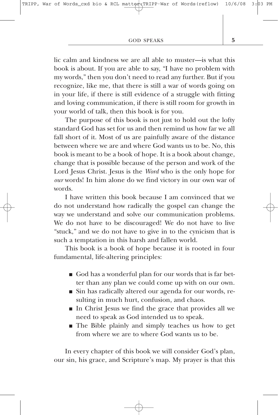lic calm and kindness we are all able to muster—is what this book is about. If you are able to say, "I have no problem with my words," then you don't need to read any further. But if you recognize, like me, that there is still a war of words going on in your life, if there is still evidence of a struggle with fitting and loving communication, if there is still room for growth in your world of talk, then this book is for you.

The purpose of this book is not just to hold out the lofty standard God has set for us and then remind us how far we all fall short of it. Most of us are painfully aware of the distance between where we are and where God wants us to be. No, this book is meant to be a book of hope. It is a book about change, change that is possible because of the person and work of the Lord Jesus Christ. Jesus is the *Word* who is the only hope for *our* words! In him alone do we find victory in our own war of words.

I have written this book because I am convinced that we do not understand how radically the gospel can change the way we understand and solve our communication problems. We do not have to be discouraged! We do not have to live "stuck," and we do not have to give in to the cynicism that is such a temptation in this harsh and fallen world.

This book is a book of hope because it is rooted in four fundamental, life-altering principles:

- God has a wonderful plan for our words that is far better than any plan we could come up with on our own.
- Sin has radically altered our agenda for our words, resulting in much hurt, confusion, and chaos.
- In Christ Jesus we find the grace that provides all we need to speak as God intended us to speak.
- The Bible plainly and simply teaches us how to get from where we are to where God wants us to be.

In every chapter of this book we will consider God's plan, our sin, his grace, and Scripture's map. My prayer is that this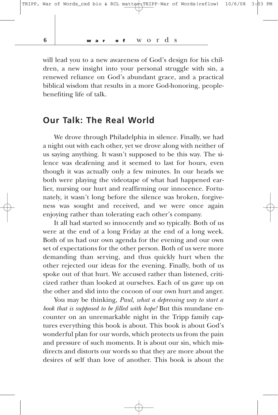

will lead you to a new awareness of God's design for his children, a new insight into your personal struggle with sin, a renewed reliance on God's abundant grace, and a practical biblical wisdom that results in a more God-honoring, peoplebenefiting life of talk.

### **Our Talk: The Real World**

We drove through Philadelphia in silence. Finally, we had a night out with each other, yet we drove along with neither of us saying anything. It wasn't supposed to be this way. The silence was deafening and it seemed to last for hours, even though it was actually only a few minutes. In our heads we both were playing the videotape of what had happened earlier, nursing our hurt and reaffirming our innocence. Fortunately, it wasn't long before the silence was broken, forgiveness was sought and received, and we were once again enjoying rather than tolerating each other's company.

It all had started so innocently and so typically. Both of us were at the end of a long Friday at the end of a long week. Both of us had our own agenda for the evening and our own set of expectations for the other person. Both of us were more demanding than serving, and thus quickly hurt when the other rejected our ideas for the evening. Finally, both of us spoke out of that hurt. We accused rather than listened, criticized rather than looked at ourselves. Each of us gave up on the other and slid into the cocoon of our own hurt and anger.

You may be thinking, *Paul, what a depressing way to start a book that is supposed to be filled with hope!* But this mundane encounter on an unremarkable night in the Tripp family captures everything this book is about. This book is about God's wonderful plan for our words, which protects us from the pain and pressure of such moments. It is about our sin, which misdirects and distorts our words so that they are more about the desires of self than love of another. This book is about the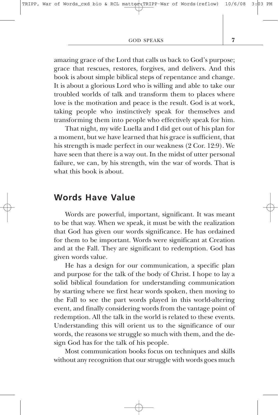amazing grace of the Lord that calls us back to God's purpose; grace that rescues, restores, forgives, and delivers. And this book is about simple biblical steps of repentance and change. It is about a glorious Lord who is willing and able to take our troubled worlds of talk and transform them to places where love is the motivation and peace is the result. God is at work, taking people who instinctively speak for themselves and transforming them into people who effectively speak for him.

That night, my wife Luella and I did get out of his plan for a moment, but we have learned that his grace is sufficient, that his strength is made perfect in our weakness (2 Cor. 12:9). We have seen that there is a way out. In the midst of utter personal failure, we can, by his strength, win the war of words. That is what this book is about.

### **Words Have Value**

Words are powerful, important, significant. It was meant to be that way. When we speak, it must be with the realization that God has given our words significance. He has ordained for them to be important. Words were significant at Creation and at the Fall. They are significant to redemption. God has given words value.

He has a design for our communication, a specific plan and purpose for the talk of the body of Christ. I hope to lay a solid biblical foundation for understanding communication by starting where we first hear words spoken, then moving to the Fall to see the part words played in this world-altering event, and finally considering words from the vantage point of redemption. All the talk in the world is related to these events. Understanding this will orient us to the significance of our words, the reasons we struggle so much with them, and the design God has for the talk of his people.

Most communication books focus on techniques and skills without any recognition that our struggle with words goes much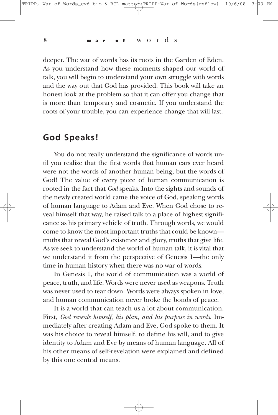|  |  |  |  |              |  |  | TRIPP, War of Words_cxd bio & RCL matters\TRIPP-War of Words(reflow) 10/6/08 3:03 PM |  |  |  |
|--|--|--|--|--------------|--|--|--------------------------------------------------------------------------------------|--|--|--|
|  |  |  |  | war of Words |  |  |                                                                                      |  |  |  |

deeper. The war of words has its roots in the Garden of Eden. As you understand how these moments shaped our world of talk, you will begin to understand your own struggle with words and the way out that God has provided. This book will take an honest look at the problem so that it can offer you change that is more than temporary and cosmetic. If you understand the roots of your trouble, you can experience change that will last.

### **God Speaks!**

You do not really understand the significance of words until you realize that the first words that human ears ever heard were not the words of another human being, but the words of God! The value of every piece of human communication is rooted in the fact that *God* speaks. Into the sights and sounds of the newly created world came the voice of God, speaking words of human language to Adam and Eve. When God chose to reveal himself that way, he raised talk to a place of highest significance as his primary vehicle of truth. Through words, we would come to know the most important truths that could be known truths that reveal God's existence and glory, truths that give life. As we seek to understand the world of human talk, it is vital that we understand it from the perspective of Genesis 1—the only time in human history when there was no war of words.

In Genesis 1, the world of communication was a world of peace, truth, and life. Words were never used as weapons. Truth was never used to tear down. Words were always spoken in love, and human communication never broke the bonds of peace.

It is a world that can teach us a lot about communication. First, *God reveals himself, his plan, and his purpose in words*. Immediately after creating Adam and Eve, God spoke to them. It was his choice to reveal himself, to define his will, and to give identity to Adam and Eve by means of human language. All of his other means of self-revelation were explained and defined by this one central means.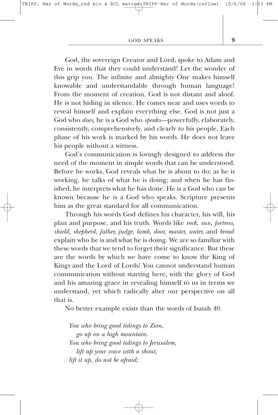God, the sovereign Creator and Lord, spoke to Adam and Eve in words that they could understand! Let the wonder of this grip you. The infinite and almighty One makes himself knowable and understandable through human language! From the moment of creation, God is not distant and aloof. He is not hiding in silence. He comes near and uses words to reveal himself and explain everything else. God is not just a God who *does,* he is a God who *speaks—*powerfully, elaborately, consistently, comprehensively, and clearly to his people. Each phase of his work is marked by his words. He does not leave his people without a witness.

God's communication is lovingly designed to address the need of the moment in simple words that can be understood. Before he works, God reveals what he is about to do; as he is working, he talks of what he is doing; and when he has finished, he interprets what he has done. He is a God who can be known because he is a God who speaks. Scripture presents him as the great standard for all communication.

Through his words God defines his character, his will, his plan and purpose, and his truth. Words like *rock, sun, fortress, shield, shepherd, father, judge, lamb, door, master, water,* and *bread* explain who he is and what he is doing. We are so familiar with these words that we tend to forget their significance. But these are the words by which we have come to know the King of Kings and the Lord of Lords! You cannot understand human communication without starting here, with the glory of God and his amazing grace in revealing himself to us in terms we understand, yet which radically alter our perspective on all that is.

No better example exists than the words of Isaiah 40.

*You who bring good tidings to Zion, go up on a high mountain. You who bring good tidings to Jerusalem, lift up your voice with a shout, lift it up, do not be afraid;*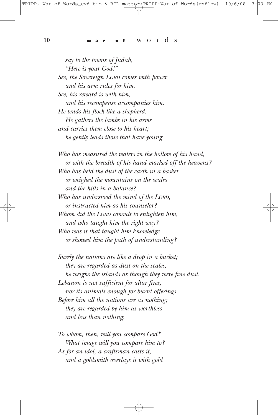### **10** <sup>w</sup> <sup>a</sup> <sup>r</sup> <sup>o</sup> <sup>f</sup> w o r d s

*say to the towns of Judah, "Here is your God!" See, the Sovereign LORD comes with power, and his arm rules for him. See, his reward is with him, and his recompense accompanies him. He tends his flock like a shepherd: He gathers the lambs in his arms and carries them close to his heart; he gently leads those that have young.*

*Who has measured the waters in the hollow of his hand, or with the breadth of his hand marked off the heavens? Who has held the dust of the earth in a basket, or weighed the mountains on the scales and the hills in a balance? Who has understood the mind of the LORD, or instructed him as his counselor? Whom did the LORD consult to enlighten him, and who taught him the right way? Who was it that taught him knowledge or showed him the path of understanding?*

*Surely the nations are like a drop in a bucket; they are regarded as dust on the scales; he weighs the islands as though they were fine dust. Lebanon is not sufficient for altar fires, nor its animals enough for burnt offerings. Before him all the nations are as nothing; they are regarded by him as worthless and less than nothing.*

*To whom, then, will you compare God? What image will you compare him to? As for an idol, a craftsman casts it, and a goldsmith overlays it with gold*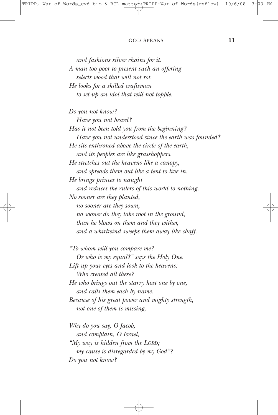TRIPP, War of Words\_cxd bio & RCL matter: TRIPP-War of Words(reflow) 10/6/08 3:03 PM

### GOD SPEAKS 11

*and fashions silver chains for it. A man too poor to present such an offering selects wood that will not rot. He looks for a skilled craftsman to set up an idol that will not topple.*

*Do you not know?*

*Have you not heard? Has it not been told you from the beginning? Have you not understood since the earth was founded? He sits enthroned above the circle of the earth, and its peoples are like grasshoppers. He stretches out the heavens like a canopy, and spreads them out like a tent to live in. He brings princes to naught and reduces the rulers of this world to nothing. No sooner are they planted, no sooner are they sown, no sooner do they take root in the ground, than he blows on them and they wither, and a whirlwind sweeps them away like chaff.*

*"To whom will you compare me? Or who is my equal?" says the Holy One. Lift up your eyes and look to the heavens: Who created all these? He who brings out the starry host one by one, and calls them each by name. Because of his great power and mighty strength, not one of them is missing.*

*Why do you say, O Jacob, and complain, O Israel, "My way is hidden from the LORD; my cause is disregarded by my God"? Do you not know?*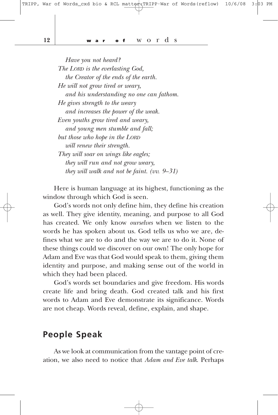**12** <sup>w</sup> <sup>a</sup> <sup>r</sup> <sup>o</sup> <sup>f</sup> w o r d s

*Have you not heard? The LORD is the everlasting God, the Creator of the ends of the earth. He will not grow tired or weary, and his understanding no one can fathom. He gives strength to the weary and increases the power of the weak. Even youths grow tired and weary, and young men stumble and fall; but those who hope in the LORD will renew their strength. They will soar on wings like eagles; they will run and not grow weary, they will walk and not be faint. (vv. 9–31)*

Here is human language at its highest, functioning as the window through which God is seen.

God's words not only define him, they define his creation as well. They give identity, meaning, and purpose to all God has created. We only know *ourselves* when we listen to the words he has spoken about us. God tells us who we are, defines what we are to do and the way we are to do it. None of these things could we discover on our own! The only hope for Adam and Eve was that God would speak to them, giving them identity and purpose, and making sense out of the world in which they had been placed.

God's words set boundaries and give freedom. His words create life and bring death. God created talk and his first words to Adam and Eve demonstrate its significance. Words are not cheap. Words reveal, define, explain, and shape.

### **People Speak**

As we look at communication from the vantage point of creation, we also need to notice that *Adam and Eve talk*. Perhaps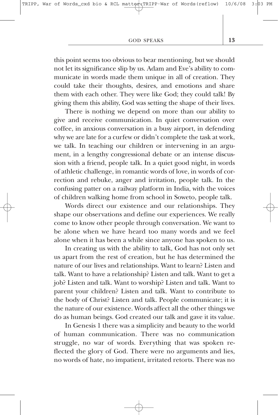this point seems too obvious to bear mentioning, but we should not let its significance slip by us. Adam and Eve's ability to communicate in words made them unique in all of creation. They could take their thoughts, desires, and emotions and share them with each other. They were like God; they could talk! By giving them this ability, God was setting the shape of their lives.

There is nothing we depend on more than our ability to give and receive communication. In quiet conversation over coffee, in anxious conversation in a busy airport, in defending why we are late for a curfew or didn't complete the task at work, we talk. In teaching our children or intervening in an argument, in a lengthy congressional debate or an intense discussion with a friend, people talk. In a quiet good night, in words of athletic challenge, in romantic words of love, in words of correction and rebuke, anger and irritation, people talk. In the confusing patter on a railway platform in India, with the voices of children walking home from school in Soweto, people talk.

Words direct our existence and our relationships. They shape our observations and define our experiences. We really come to know other people through conversation. We want to be alone when we have heard too many words and we feel alone when it has been a while since anyone has spoken to us.

In creating us with the ability to talk, God has not only set us apart from the rest of creation, but he has determined the nature of our lives and relationships. Want to learn? Listen and talk. Want to have a relationship? Listen and talk. Want to get a job? Listen and talk. Want to worship? Listen and talk. Want to parent your children? Listen and talk. Want to contribute to the body of Christ? Listen and talk. People communicate; it is the nature of our existence. Words affect all the other things we do as human beings. God created our talk and gave it its value.

In Genesis 1 there was a simplicity and beauty to the world of human communication. There was no communication struggle, no war of words. Everything that was spoken reflected the glory of God. There were no arguments and lies, no words of hate, no impatient, irritated retorts. There was no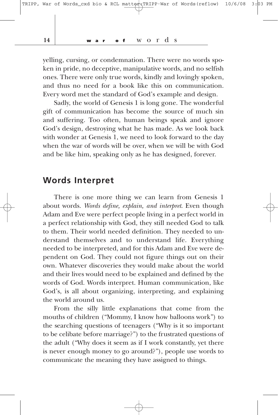### yelling, cursing, or condemnation. There were no words spoken in pride, no deceptive, manipulative words, and no selfish ones. There were only true words, kindly and lovingly spoken, and thus no need for a book like this on communication. Every word met the standard of God's example and design.

**14** <sup>w</sup> <sup>a</sup> <sup>r</sup> <sup>o</sup> <sup>f</sup> w o r d s

Sadly, the world of Genesis 1 is long gone. The wonderful gift of communication has become the source of much sin and suffering. Too often, human beings speak and ignore God's design, destroying what he has made. As we look back with wonder at Genesis 1, we need to look forward to the day when the war of words will be over, when we will be with God and be like him, speaking only as he has designed, forever.

### **Words Interpret**

There is one more thing we can learn from Genesis 1 about words. *Words define, explain, and interpret*. Even though Adam and Eve were perfect people living in a perfect world in a perfect relationship with God, they still needed God to talk to them. Their world needed definition. They needed to understand themselves and to understand life. Everything needed to be interpreted, and for this Adam and Eve were dependent on God. They could not figure things out on their own. Whatever discoveries they would make about the world and their lives would need to be explained and defined by the words of God. Words interpret. Human communication, like God's, is all about organizing, interpreting, and explaining the world around us.

From the silly little explanations that come from the mouths of children ("Mommy, I know how balloons work") to the searching questions of teenagers ("Why is it so important to be celibate before marriage?") to the frustrated questions of the adult ("Why does it seem as if I work constantly, yet there is never enough money to go around?"), people use words to communicate the meaning they have assigned to things.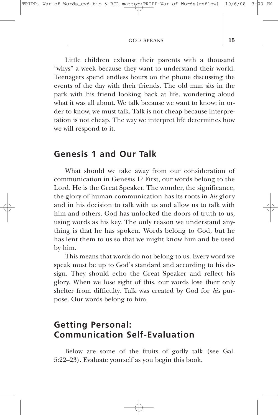Words\_cxd bio & RCL matter:TRIPP-War of Words(reflow)  $10/6/08$  3:03 PM

Little children exhaust their parents with a thousand "whys" a week because they want to understand their world. Teenagers spend endless hours on the phone discussing the events of the day with their friends. The old man sits in the park with his friend looking back at life, wondering aloud what it was all about. We talk because we want to know; in order to know, we must talk. Talk is not cheap because interpretation is not cheap. The way we interpret life determines how we will respond to it.

### **Genesis 1 and Our Talk**

What should we take away from our consideration of communication in Genesis 1? First, our words belong to the Lord. He is the Great Speaker. The wonder, the significance, the glory of human communication has its roots in *his* glory and in his decision to talk with us and allow us to talk with him and others. God has unlocked the doors of truth to us, using words as his key. The only reason we understand anything is that he has spoken. Words belong to God, but he has lent them to us so that we might know him and be used by him.

This means that words do not belong to us. Every word we speak must be up to God's standard and according to his design. They should echo the Great Speaker and reflect his glory. When we lose sight of this, our words lose their only shelter from difficulty. Talk was created by God for *his* purpose. Our words belong to him.

### **Getting Personal: Communication Self-Evaluation**

Below are some of the fruits of godly talk (see Gal. 5:22–23). Evaluate yourself as you begin this book.